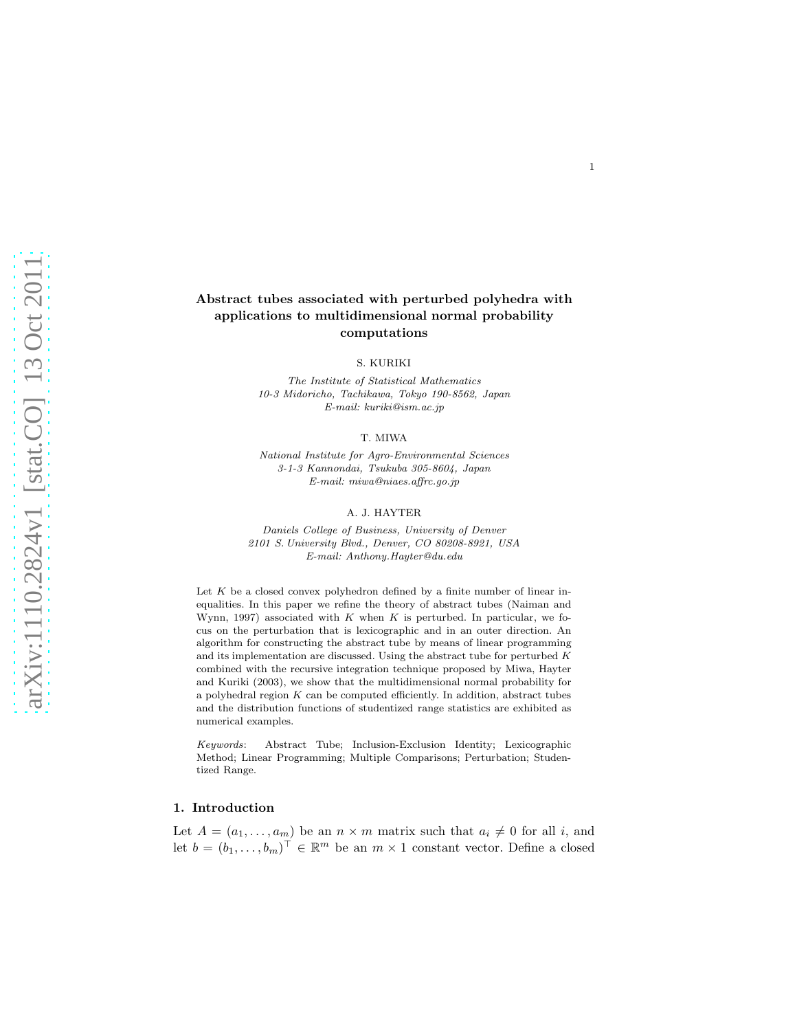# Abstract tubes associated with perturbed polyhedra with applications to multidimensional normal probability computations

S. KURIKI

The Institute of Statistical Mathematics 10-3 Midoricho, Tachikawa, Tokyo 190-8562, Japan E-mail: kuriki@ism.ac.jp

T. MIWA

National Institute for Agro-Environmental Sciences 3-1-3 Kannondai, Tsukuba 305-8604, Japan E-mail: miwa@niaes.affrc.go.jp

#### A. J. HAYTER

Daniels College of Business, University of Denver 2101 S. University Blvd., Denver, CO 80208-8921, USA E-mail: Anthony.Hayter@du.edu

Let  $K$  be a closed convex polyhedron defined by a finite number of linear inequalities. In this paper we refine the theory of abstract tubes (Naiman and Wynn, 1997) associated with  $K$  when  $K$  is perturbed. In particular, we focus on the perturbation that is lexicographic and in an outer direction. An algorithm for constructing the abstract tube by means of linear programming and its implementation are discussed. Using the abstract tube for perturbed  $K$ combined with the recursive integration technique proposed by Miwa, Hayter and Kuriki (2003), we show that the multidimensional normal probability for a polyhedral region  $K$  can be computed efficiently. In addition, abstract tubes and the distribution functions of studentized range statistics are exhibited as numerical examples.

Keywords: Abstract Tube; Inclusion-Exclusion Identity; Lexicographic Method; Linear Programming; Multiple Comparisons; Perturbation; Studentized Range.

### 1. Introduction

Let  $A = (a_1, \ldots, a_m)$  be an  $n \times m$  matrix such that  $a_i \neq 0$  for all i, and let  $b = (b_1, \ldots, b_m)^\top \in \mathbb{R}^m$  be an  $m \times 1$  constant vector. Define a closed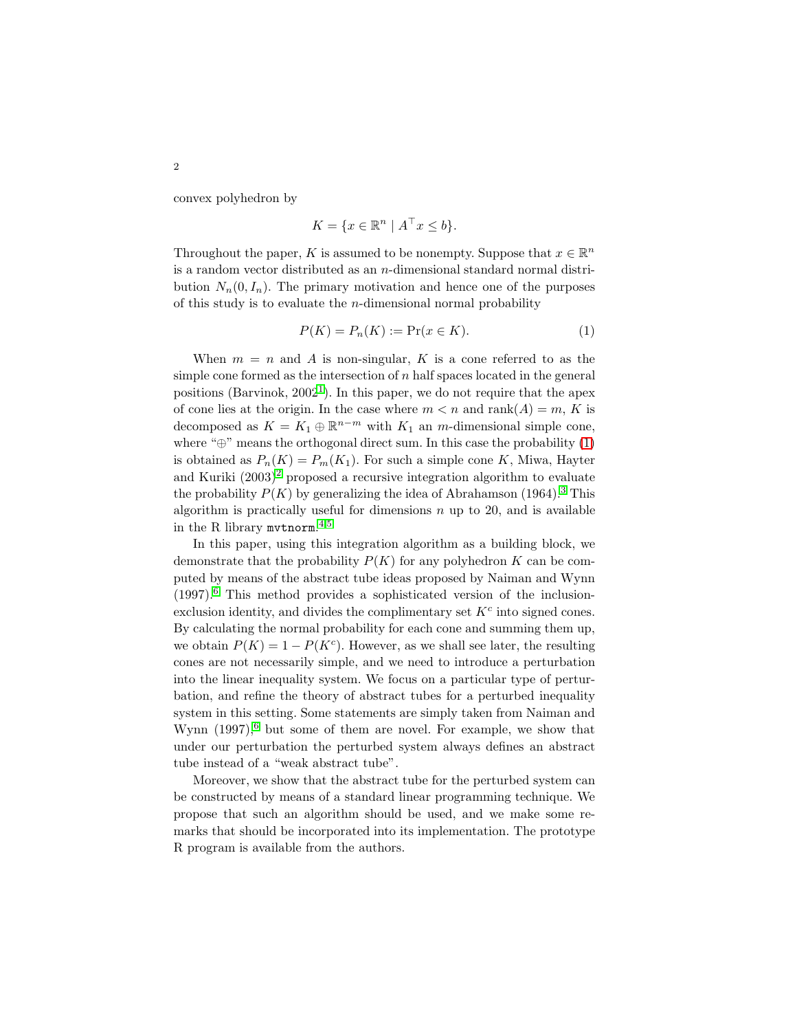convex polyhedron by

$$
K = \{ x \in \mathbb{R}^n \mid A^\top x \le b \}.
$$

Throughout the paper,  $K$  is assumed to be nonempty. Suppose that  $x\in\mathbb{R}^n$ is a random vector distributed as an n-dimensional standard normal distribution  $N_n(0, I_n)$ . The primary motivation and hence one of the purposes of this study is to evaluate the *n*-dimensional normal probability

<span id="page-1-0"></span>
$$
P(K) = P_n(K) := \Pr(x \in K). \tag{1}
$$

When  $m = n$  and A is non-singular, K is a cone referred to as the simple cone formed as the intersection of  $n$  half spaces located in the general positions (Barvinok,  $2002^1$  $2002^1$ ). In this paper, we do not require that the apex of cone lies at the origin. In the case where  $m < n$  and  $rank(A) = m$ , K is decomposed as  $K = K_1 \oplus \mathbb{R}^{n-m}$  with  $K_1$  an m-dimensional simple cone, where " $\oplus$ " means the orthogonal direct sum. In this case the probability [\(1\)](#page-1-0) is obtained as  $P_n(K) = P_m(K_1)$ . For such a simple cone K, Miwa, Hayter and Kuriki  $(2003)^2$  $(2003)^2$  $(2003)^2$  proposed a recursive integration algorithm to evaluate the probability  $P(K)$  by generalizing the idea of Abrahamson (1964).<sup>[3](#page-13-2)</sup> This algorithm is practically useful for dimensions  $n$  up to 20, and is available in the R library mvtnorm. [4,](#page-13-3)[5](#page-13-4)

In this paper, using this integration algorithm as a building block, we demonstrate that the probability  $P(K)$  for any polyhedron K can be computed by means of the abstract tube ideas proposed by Naiman and Wynn (1997).[6](#page-13-5) This method provides a sophisticated version of the inclusionexclusion identity, and divides the complimentary set  $K<sup>c</sup>$  into signed cones. By calculating the normal probability for each cone and summing them up, we obtain  $P(K) = 1 - P(K<sup>c</sup>)$ . However, as we shall see later, the resulting cones are not necessarily simple, and we need to introduce a perturbation into the linear inequality system. We focus on a particular type of perturbation, and refine the theory of abstract tubes for a perturbed inequality system in this setting. Some statements are simply taken from Naiman and Wynn  $(1997)$ , but some of them are novel. For example, we show that under our perturbation the perturbed system always defines an abstract tube instead of a "weak abstract tube".

Moreover, we show that the abstract tube for the perturbed system can be constructed by means of a standard linear programming technique. We propose that such an algorithm should be used, and we make some remarks that should be incorporated into its implementation. The prototype R program is available from the authors.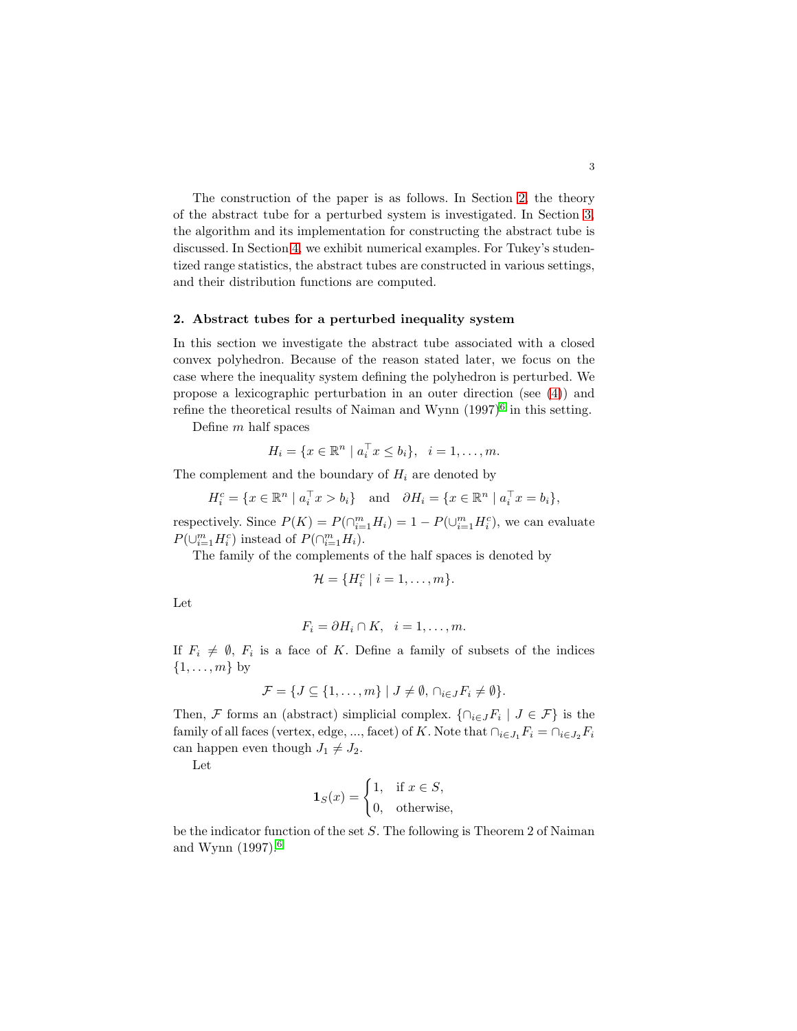The construction of the paper is as follows. In Section [2,](#page-2-0) the theory of the abstract tube for a perturbed system is investigated. In Section [3,](#page-9-0) the algorithm and its implementation for constructing the abstract tube is discussed. In Section [4,](#page-11-0) we exhibit numerical examples. For Tukey's studentized range statistics, the abstract tubes are constructed in various settings, and their distribution functions are computed.

### <span id="page-2-0"></span>2. Abstract tubes for a perturbed inequality system

In this section we investigate the abstract tube associated with a closed convex polyhedron. Because of the reason stated later, we focus on the case where the inequality system defining the polyhedron is perturbed. We propose a lexicographic perturbation in an outer direction (see [\(4\)](#page-4-0)) and refine the theoretical results of Naiman and Wynn  $(1997)^6$  $(1997)^6$  in this setting.

Define m half spaces

$$
H_i = \{x \in \mathbb{R}^n \mid a_i^\top x \le b_i\}, \quad i = 1, \dots, m.
$$

The complement and the boundary of  $H_i$  are denoted by

$$
H_i^c = \{ x \in \mathbb{R}^n \mid a_i^\top x > b_i \} \quad \text{and} \quad \partial H_i = \{ x \in \mathbb{R}^n \mid a_i^\top x = b_i \},
$$

respectively. Since  $P(K) = P(\bigcap_{i=1}^{m} H_i) = 1 - P(\bigcup_{i=1}^{m} H_i^c)$ , we can evaluate  $P(\cup_{i=1}^m H_i^c)$  instead of  $P(\cap_{i=1}^m H_i)$ .

The family of the complements of the half spaces is denoted by

$$
\mathcal{H} = \{H_i^c \mid i = 1, \ldots, m\}.
$$

Let

$$
F_i = \partial H_i \cap K, \quad i = 1, \dots, m.
$$

If  $F_i \neq \emptyset$ ,  $F_i$  is a face of K. Define a family of subsets of the indices  $\{1, \ldots, m\}$  by

$$
\mathcal{F} = \{ J \subseteq \{1, \ldots, m\} \mid J \neq \emptyset, \cap_{i \in J} F_i \neq \emptyset \}.
$$

Then, F forms an (abstract) simplicial complex.  $\{\cap_{i\in J}F_i \mid J\in\mathcal{F}\}\$ is the family of all faces (vertex, edge, ..., facet) of K. Note that  $\bigcap_{i\in J_1} F_i = \bigcap_{i\in J_2} F_i$ can happen even though  $J_1 \neq J_2$ .

Let

<span id="page-2-1"></span>
$$
\mathbf{1}_S(x) = \begin{cases} 1, & \text{if } x \in S, \\ 0, & \text{otherwise,} \end{cases}
$$

be the indicator function of the set  $S$ . The following is Theorem 2 of Naiman and Wynn (1997).[6](#page-13-5)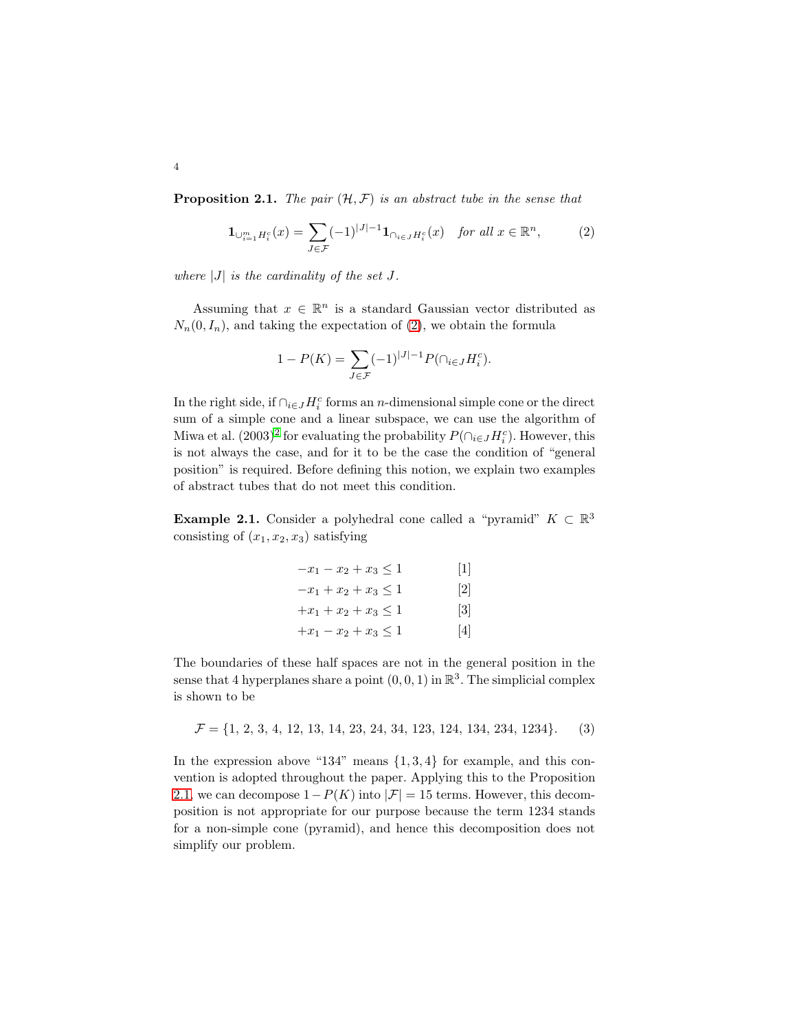**Proposition 2.1.** The pair  $(\mathcal{H}, \mathcal{F})$  is an abstract tube in the sense that

<span id="page-3-0"></span>
$$
\mathbf{1}_{\bigcup_{i=1}^{m} H_i^c}(x) = \sum_{J \in \mathcal{F}} (-1)^{|J|-1} \mathbf{1}_{\bigcap_{i \in J} H_i^c}(x) \quad \text{for all } x \in \mathbb{R}^n, \tag{2}
$$

where  $|J|$  is the cardinality of the set J.

Assuming that  $x \in \mathbb{R}^n$  is a standard Gaussian vector distributed as  $N_n(0, I_n)$ , and taking the expectation of [\(2\)](#page-3-0), we obtain the formula

$$
1 - P(K) = \sum_{J \in \mathcal{F}} (-1)^{|J|-1} P(\cap_{i \in J} H_i^c).
$$

In the right side, if  $\bigcap_{i\in J} H_i^c$  forms an *n*-dimensional simple cone or the direct sum of a simple cone and a linear subspace, we can use the algorithm of Miwa et al.  $(2003)^2$  $(2003)^2$  $(2003)^2$  for evaluating the probability  $P(\bigcap_{i \in J} H_i^c)$ . However, this is not always the case, and for it to be the case the condition of "general position" is required. Before defining this notion, we explain two examples of abstract tubes that do not meet this condition.

<span id="page-3-1"></span>**Example 2.1.** Consider a polyhedral cone called a "pyramid"  $K \subset \mathbb{R}^3$ consisting of  $(x_1, x_2, x_3)$  satisfying

| $-x_1-x_2+x_3\leq 1$      | 1                 |
|---------------------------|-------------------|
| $-x_1 + x_2 + x_3 \leq 1$ | $\lceil 2 \rceil$ |
| $+x_1+x_2+x_3\leq 1$      | 3                 |
| $+x_1 - x_2 + x_3 \leq 1$ | $\vert 4 \vert$   |

The boundaries of these half spaces are not in the general position in the sense that 4 hyperplanes share a point  $(0,0,1)$  in  $\mathbb{R}^3$ . The simplicial complex is shown to be

<span id="page-3-2"></span> $\mathcal{F} = \{1, 2, 3, 4, 12, 13, 14, 23, 24, 34, 123, 124, 134, 234, 1234\}.$  (3)

In the expression above "134" means  $\{1, 3, 4\}$  for example, and this convention is adopted throughout the paper. Applying this to the Proposition [2.1,](#page-2-1) we can decompose  $1-P(K)$  into  $|\mathcal{F}|=15$  terms. However, this decomposition is not appropriate for our purpose because the term 1234 stands for a non-simple cone (pyramid), and hence this decomposition does not simplify our problem.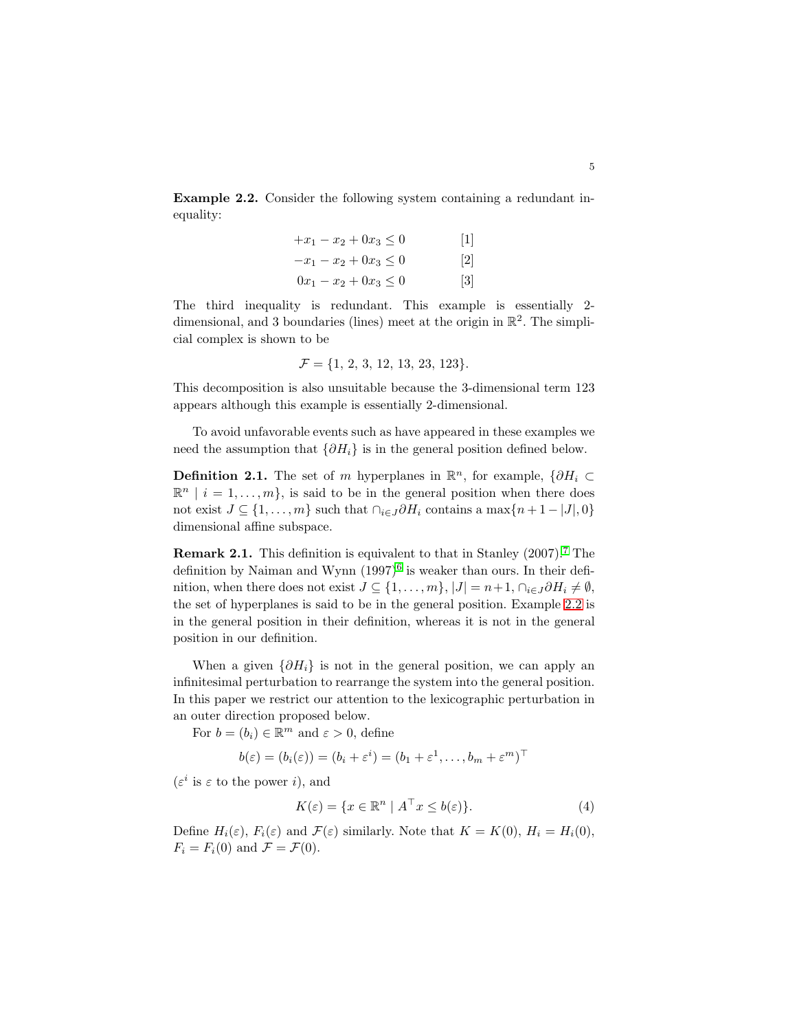<span id="page-4-1"></span>Example 2.2. Consider the following system containing a redundant inequality:

| $+x_1 - x_2 + 0x_3 \leq 0$ | $\lceil 1 \rceil$            |
|----------------------------|------------------------------|
| $-x_1 - x_2 + 0x_3 \leq 0$ | $\lceil 2 \rceil$            |
| $0x_1 - x_2 + 0x_3 \leq 0$ | $\left\lceil 3 \right\rceil$ |

The third inequality is redundant. This example is essentially 2 dimensional, and 3 boundaries (lines) meet at the origin in  $\mathbb{R}^2$ . The simplicial complex is shown to be

$$
\mathcal{F} = \{1, 2, 3, 12, 13, 23, 123\}.
$$

This decomposition is also unsuitable because the 3-dimensional term 123 appears although this example is essentially 2-dimensional.

To avoid unfavorable events such as have appeared in these examples we need the assumption that  $\{\partial H_i\}$  is in the general position defined below.

**Definition 2.1.** The set of m hyperplanes in  $\mathbb{R}^n$ , for example,  $\{\partial H_i \subset$  $\mathbb{R}^n \mid i = 1, \ldots, m$ , is said to be in the general position when there does not exist  $J \subseteq \{1, \ldots, m\}$  such that  $\cap_{i \in J} \partial H_i$  contains a max $\{n+1-|J|, 0\}$ dimensional affine subspace.

**Remark 2.1.** This definition is equivalent to that in Stanley  $(2007)^{7}$  $(2007)^{7}$  $(2007)^{7}$ . The definition by Naiman and Wynn  $(1997)^6$  $(1997)^6$  is weaker than ours. In their definition, when there does not exist  $J \subseteq \{1, \ldots, m\}$ ,  $|J| = n+1$ ,  $\cap_{i \in J} \partial H_i \neq \emptyset$ , the set of hyperplanes is said to be in the general position. Example [2.2](#page-4-1) is in the general position in their definition, whereas it is not in the general position in our definition.

When a given  $\{\partial H_i\}$  is not in the general position, we can apply an infinitesimal perturbation to rearrange the system into the general position. In this paper we restrict our attention to the lexicographic perturbation in an outer direction proposed below.

For  $b = (b_i) \in \mathbb{R}^m$  and  $\varepsilon > 0$ , define

$$
b(\varepsilon) = (b_i(\varepsilon)) = (b_i + \varepsilon^i) = (b_1 + \varepsilon^1, \dots, b_m + \varepsilon^m)^\top
$$

 $(\varepsilon^i$  is  $\varepsilon$  to the power *i*), and

<span id="page-4-0"></span>
$$
K(\varepsilon) = \{ x \in \mathbb{R}^n \mid A^\top x \le b(\varepsilon) \}. \tag{4}
$$

Define  $H_i(\varepsilon)$ ,  $F_i(\varepsilon)$  and  $\mathcal{F}(\varepsilon)$  similarly. Note that  $K = K(0)$ ,  $H_i = H_i(0)$ ,  $F_i = F_i(0)$  and  $\mathcal{F} = \mathcal{F}(0)$ .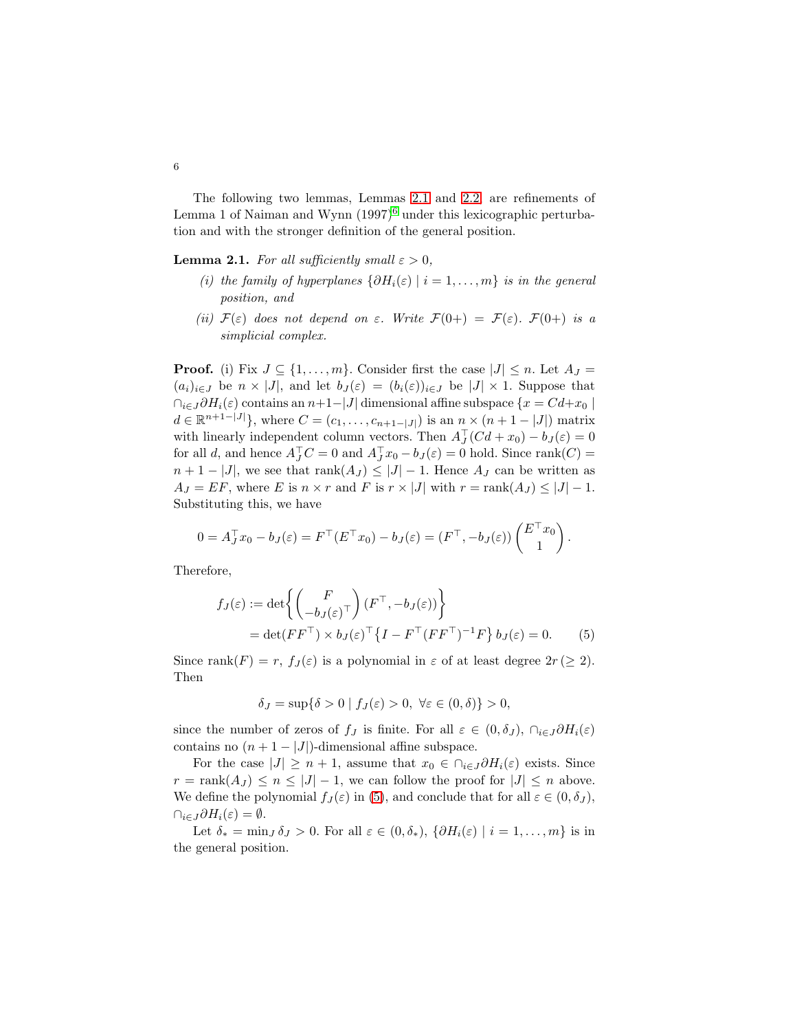The following two lemmas, Lemmas [2.1](#page-5-0) and [2.2,](#page-6-0) are refinements of Lemma 1 of Naiman and Wynn  $(1997)^6$  $(1997)^6$  under this lexicographic perturbation and with the stronger definition of the general position.

**Lemma 2.1.** For all sufficiently small  $\varepsilon > 0$ ,

- <span id="page-5-0"></span>(i) the family of hyperplanes  $\{\partial H_i(\varepsilon) \mid i = 1, \ldots, m\}$  is in the general position, and
- (ii)  $\mathcal{F}(\varepsilon)$  does not depend on  $\varepsilon$ . Write  $\mathcal{F}(0+) = \mathcal{F}(\varepsilon)$ .  $\mathcal{F}(0+)$  is a simplicial complex.

**Proof.** (i) Fix  $J \subseteq \{1, \ldots, m\}$ . Consider first the case  $|J| \leq n$ . Let  $A_J =$  $(a_i)_{i\in J}$  be  $n \times |J|$ , and let  $b_J(\varepsilon) = (b_i(\varepsilon))_{i\in J}$  be  $|J| \times 1$ . Suppose that  $\bigcap_{i\in J} \partial H_i(\varepsilon)$  contains an  $n+1-|J|$  dimensional affine subspace  $\{x = Cd + x_0\}$  $d \in \mathbb{R}^{n+1-|J|}$ , where  $C = (c_1, \ldots, c_{n+1-|J|})$  is an  $\sum_{\tau}$   $(n+1-|J|)$  matrix with linearly independent column vectors. Then  $A_J^\top (Cd + x_0) - b_J(\varepsilon) = 0$ for all d, and hence  $A_J^\top C = 0$  and  $A_J^\top x_0 - b_J(\varepsilon) = 0$  hold. Since rank $(C) =$  $n+1-|J|$ , we see that  $rank(A_J) \leq |J|-1$ . Hence  $A_J$  can be written as  $A_J = EF$ , where E is  $n \times r$  and F is  $r \times |J|$  with  $r = \text{rank}(A_J) \leq |J| - 1$ . Substituting this, we have

$$
0 = A_J^{\top} x_0 - b_J(\varepsilon) = F^{\top} (E^{\top} x_0) - b_J(\varepsilon) = (F^{\top}, -b_J(\varepsilon)) {E^{\top} x_0 \choose 1}.
$$

Therefore,

$$
f_J(\varepsilon) := \det \left\{ \begin{pmatrix} F \\ -b_J(\varepsilon)^\top \end{pmatrix} (F^\top, -b_J(\varepsilon)) \right\}
$$
  
= 
$$
\det(FF^\top) \times b_J(\varepsilon)^\top \left\{ I - F^\top (F F^\top)^{-1} F \right\} b_J(\varepsilon) = 0.
$$
 (5)

Since rank $(F) = r$ ,  $f_J(\varepsilon)$  is a polynomial in  $\varepsilon$  of at least degree  $2r \geq 2$ . Then

<span id="page-5-1"></span>
$$
\delta_J = \sup \{ \delta > 0 \mid f_J(\varepsilon) > 0, \ \forall \varepsilon \in (0, \delta) \} > 0,
$$

since the number of zeros of f<sub>J</sub> is finite. For all  $\varepsilon \in (0, \delta_J)$ ,  $\cap_{i \in J} \partial H_i(\varepsilon)$ contains no  $(n + 1 - |J|)$ -dimensional affine subspace.

For the case  $|J| \geq n+1$ , assume that  $x_0 \in \bigcap_{i \in J} \partial H_i(\varepsilon)$  exists. Since  $r = \text{rank}(A_J) \leq n \leq |J| - 1$ , we can follow the proof for  $|J| \leq n$  above. We define the polynomial  $f_J(\varepsilon)$  in [\(5\)](#page-5-1), and conclude that for all  $\varepsilon \in (0, \delta_J)$ ,  $\cap_{i\in J}\partial H_i(\varepsilon)=\emptyset.$ 

Let  $\delta_* = \min_J \delta_J > 0$ . For all  $\varepsilon \in (0, \delta_*), \{\partial H_i(\varepsilon) \mid i = 1, \ldots, m\}$  is in the general position.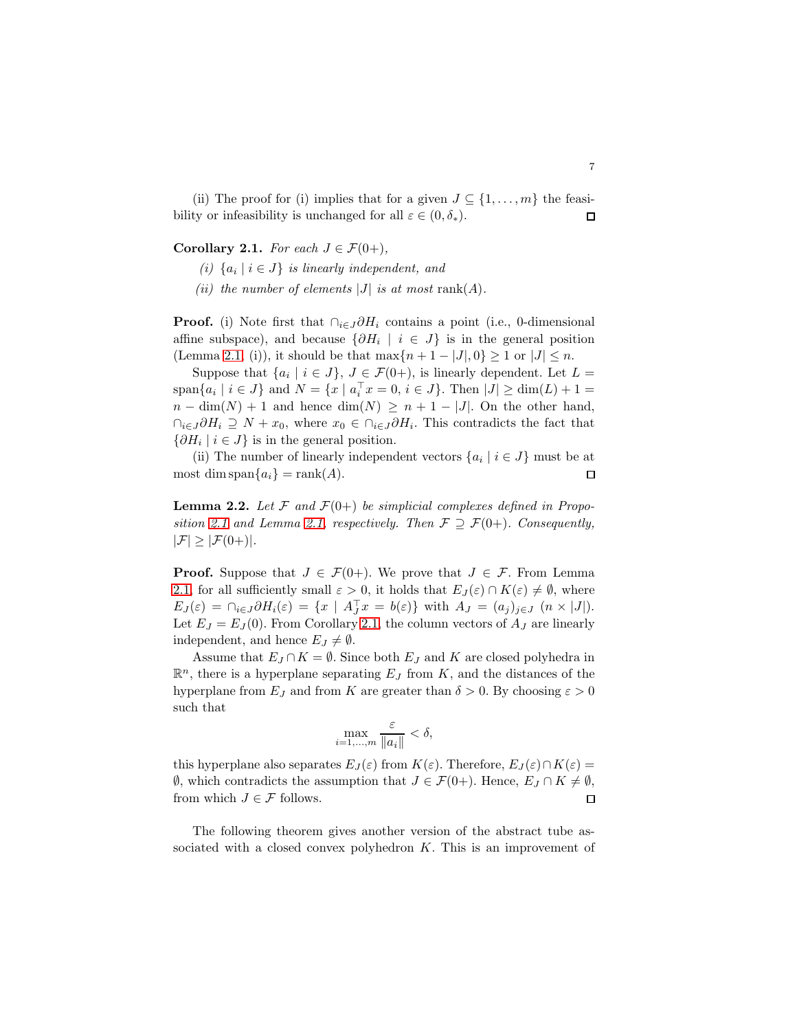(ii) The proof for (i) implies that for a given  $J \subseteq \{1, \ldots, m\}$  the feasibility or infeasibility is unchanged for all  $\varepsilon \in (0, \delta_*)$ .  $\Box$ 

<span id="page-6-1"></span>Corollary 2.1. For each  $J \in \mathcal{F}(0+)$ ,

- (i)  $\{a_i \mid i \in J\}$  is linearly independent, and
- (ii) the number of elements  $|J|$  is at most rank(A).

**Proof.** (i) Note first that  $\bigcap_{i\in J} \partial H_i$  contains a point (i.e., 0-dimensional affine subspace), and because  $\{\partial H_i \mid i \in J\}$  is in the general position (Lemma [2.1,](#page-5-0) (i)), it should be that  $\max\{n+1-|J|,0\} \geq 1$  or  $|J| \leq n$ .

Suppose that  $\{a_i \mid i \in J\}$ ,  $J \in \mathcal{F}(0+)$ , is linearly dependent. Let  $L =$ span ${a_i \mid i \in J}$  and  $N = \{x \mid a_i^{\top} x = 0, i \in J\}$ . Then  $|J| \ge \dim(L) + 1 =$  $n - \dim(N) + 1$  and hence  $\dim(N) \geq n + 1 - |J|$ . On the other hand,  $\bigcap_{i\in J}\partial H_i \supseteq N + x_0$ , where  $x_0 \in \bigcap_{i\in J}\partial H_i$ . This contradicts the fact that  $\{\partial H_i \mid i \in J\}$  is in the general position.

(ii) The number of linearly independent vectors  $\{a_i \mid i \in J\}$  must be at most dim span ${a_i}$  = rank $(A)$ .  $\Box$ 

<span id="page-6-0"></span>**Lemma 2.2.** Let F and  $\mathcal{F}(0+)$  be simplicial complexes defined in Propo-sition [2.1](#page-2-1) and Lemma [2.1,](#page-5-0) respectively. Then  $\mathcal{F} \supseteq \mathcal{F}(0+)$ . Consequently,  $|\mathcal{F}| \geq |\mathcal{F}(0+)|.$ 

**Proof.** Suppose that  $J \in \mathcal{F}(0+)$ . We prove that  $J \in \mathcal{F}$ . From Lemma [2.1,](#page-5-0) for all sufficiently small  $\varepsilon > 0$ , it holds that  $E_J(\varepsilon) \cap K(\varepsilon) \neq \emptyset$ , where  $E_J(\varepsilon) = \bigcap_{i \in J} \partial H_i(\varepsilon) = \{x \mid A_J^{\top} x = b(\varepsilon)\}\$ with  $A_J = (a_j)_{j \in J}$   $(n \times |J|).$ Let  $E_J = E_J(0)$ . From Corollary [2.1,](#page-6-1) the column vectors of  $A_J$  are linearly independent, and hence  $E_J \neq \emptyset$ .

Assume that  $E_J \cap K = \emptyset$ . Since both  $E_J$  and K are closed polyhedra in  $\mathbb{R}^n$ , there is a hyperplane separating  $E_J$  from K, and the distances of the hyperplane from  $E_J$  and from K are greater than  $\delta > 0$ . By choosing  $\varepsilon > 0$ such that

$$
\max_{i=1,\dots,m} \frac{\varepsilon}{\|a_i\|} < \delta,
$$

this hyperplane also separates  $E_J(\varepsilon)$  from  $K(\varepsilon)$ . Therefore,  $E_J(\varepsilon) \cap K(\varepsilon) =$  $\emptyset$ , which contradicts the assumption that  $J \in \mathcal{F}(0+)$ . Hence,  $E_J \cap K \neq \emptyset$ , from which  $J \in \mathcal{F}$  follows.  $\Box$ 

The following theorem gives another version of the abstract tube associated with a closed convex polyhedron  $K$ . This is an improvement of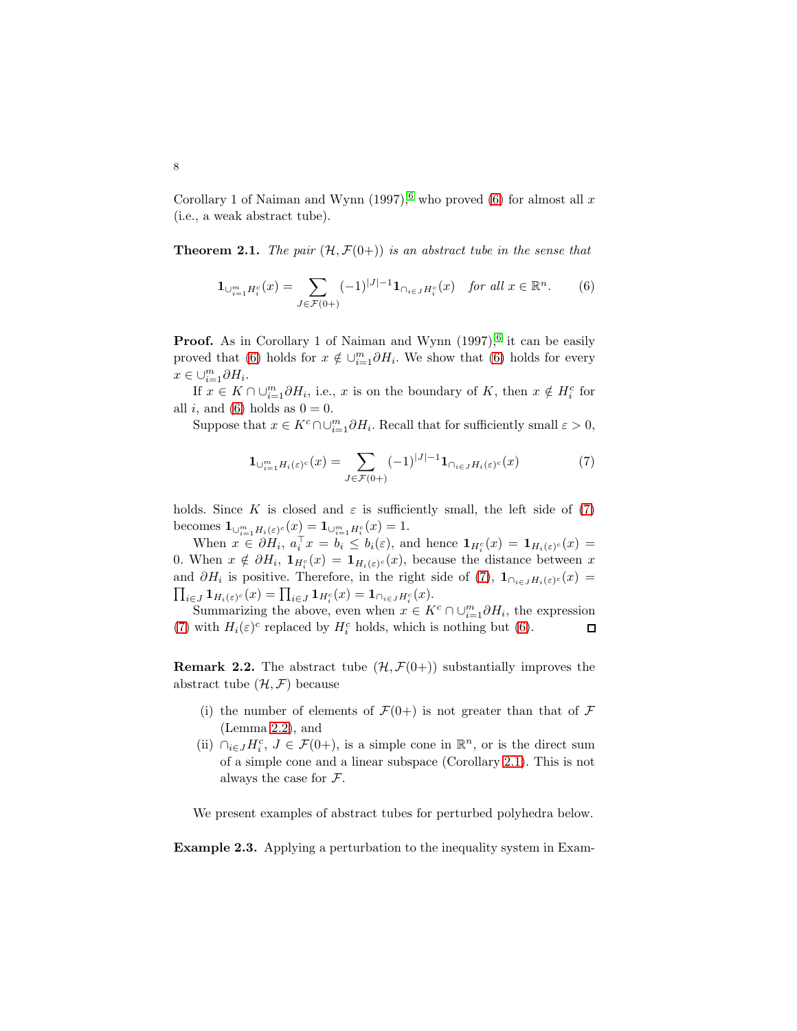Corollary 1 of Naiman and Wynn  $(1997)$ , who proved ([6](#page-13-5)) for almost all x (i.e., a weak abstract tube).

**Theorem 2.1.** The pair  $(\mathcal{H}, \mathcal{F}(0+))$  is an abstract tube in the sense that

<span id="page-7-0"></span>
$$
\mathbf{1}_{\bigcup_{i=1}^{m} H_i^c}(x) = \sum_{J \in \mathcal{F}(0+)} (-1)^{|J|-1} \mathbf{1}_{\bigcap_{i \in J} H_i^c}(x) \quad \text{for all } x \in \mathbb{R}^n. \tag{6}
$$

**Proof.** As in Corollary 1 of Naiman and Wynn  $(1997)$ , <sup>[6](#page-13-5)</sup> it can be easily proved that [\(6\)](#page-7-0) holds for  $x \notin \bigcup_{i=1}^{m} \partial H_i$ . We show that (6) holds for every  $x \in \bigcup_{i=1}^m \partial H_i.$ 

If  $x \in K \cap \cup_{i=1}^m \partial H_i$ , i.e., x is on the boundary of K, then  $x \notin H_i^c$  for all i, and [\(6\)](#page-7-0) holds as  $0 = 0$ .

Suppose that  $x \in K^c \cap \cup_{i=1}^m \partial H_i$ . Recall that for sufficiently small  $\varepsilon > 0$ ,

<span id="page-7-1"></span>
$$
\mathbf{1}_{\bigcup_{i=1}^{m}H_i(\varepsilon)^c}(x) = \sum_{J \in \mathcal{F}(0+)} (-1)^{|J|-1} \mathbf{1}_{\bigcap_{i \in J}H_i(\varepsilon)^c}(x) \tag{7}
$$

holds. Since K is closed and  $\varepsilon$  is sufficiently small, the left side of [\(7\)](#page-7-1) becomes  $\mathbf{1}_{\bigcup_{i=1}^{m}H_{i}(\varepsilon)^{c}}(x) = \mathbf{1}_{\bigcup_{i=1}^{m}H_{i}^{c}}(x) = 1.$ 

When  $x \in \partial H_i$ ,  $a_i^\top x = b_i \leq b_i(\varepsilon)$ , and hence  $\mathbf{1}_{H_i^c}(x) = \mathbf{1}_{H_i(\varepsilon)^c}(x) =$ 0. When  $x \notin \partial H_i$ ,  $\mathbf{1}_{H_i^c}(x) = \mathbf{1}_{H_i(\varepsilon)^c}(x)$ , because the distance between x and  $\partial H_i$  is positive. Therefore, in the right side of [\(7\)](#page-7-1),  $\mathbf{1}_{\cap_{i\in J}H_i(\varepsilon)^c}(x)$  $\prod_{i\in J}\mathbf{1}_{H_i(\varepsilon)^c}(x)=\prod_{i\in J}\mathbf{1}_{H_i^c}(x)=\mathbf{1}_{\cap_{i\in J}H_i^c}(x).$ 

Summarizing the above, even when  $x \in K^c \cap \cup_{i=1}^m \partial H_i$ , the expression [\(7\)](#page-7-1) with  $H_i(\varepsilon)^c$  replaced by  $H_i^c$  holds, which is nothing but [\(6\)](#page-7-0).  $\Box$ 

**Remark 2.2.** The abstract tube  $(\mathcal{H}, \mathcal{F}(0+))$  substantially improves the abstract tube  $(\mathcal{H}, \mathcal{F})$  because

- (i) the number of elements of  $\mathcal{F}(0+)$  is not greater than that of  $\mathcal F$ (Lemma [2.2\)](#page-6-0), and
- (ii)  $\bigcap_{i\in J} H_i^c$ ,  $J \in \mathcal{F}(0+)$ , is a simple cone in  $\mathbb{R}^n$ , or is the direct sum of a simple cone and a linear subspace (Corollary [2.1\)](#page-6-1). This is not always the case for F.

We present examples of abstract tubes for perturbed polyhedra below.

Example 2.3. Applying a perturbation to the inequality system in Exam-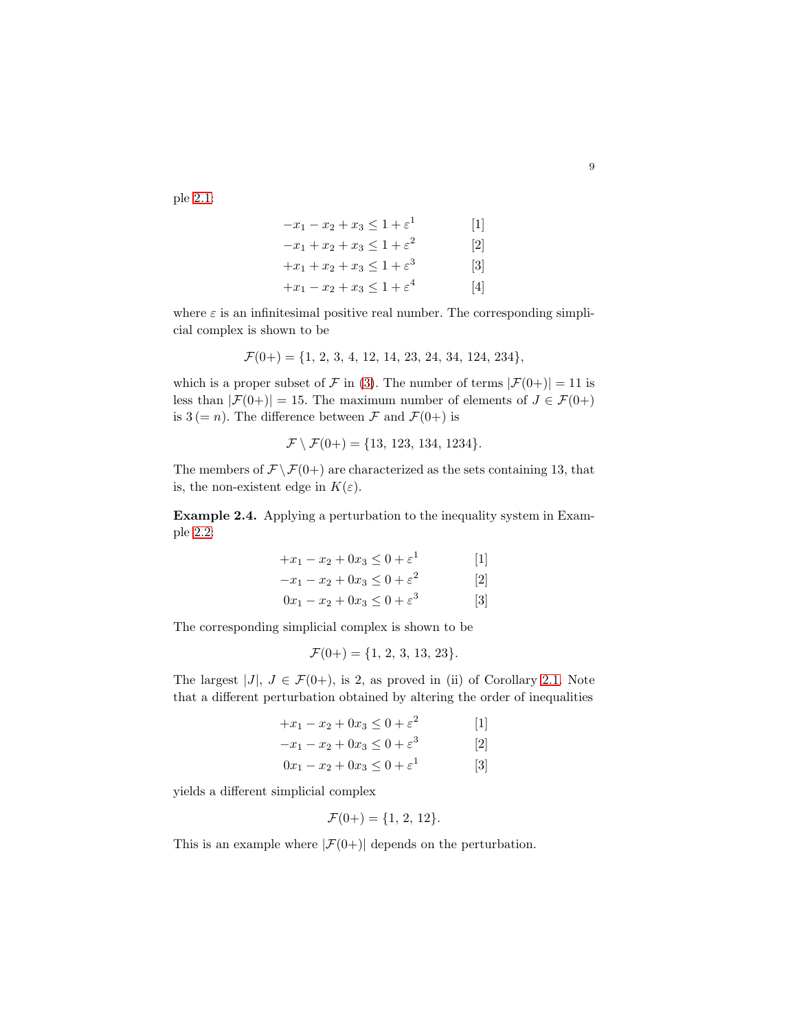ple [2.1:](#page-3-1)

$$
-x_1 - x_2 + x_3 \le 1 + \varepsilon^1
$$
 [1]  
\n
$$
-x_1 + x_2 + x_3 \le 1 + \varepsilon^2
$$
 [2]  
\n
$$
+x_1 + x_2 + x_3 \le 1 + \varepsilon^3
$$
 [3]  
\n
$$
+x_1 - x_2 + x_3 \le 1 + \varepsilon^4
$$
 [4]

where  $\varepsilon$  is an infinitesimal positive real number. The corresponding simplicial complex is shown to be

$$
\mathcal{F}(0+) = \{1, 2, 3, 4, 12, 14, 23, 24, 34, 124, 234\},\
$$

which is a proper subset of F in [\(3\)](#page-3-2). The number of terms  $|\mathcal{F}(0+)| = 11$  is less than  $|\mathcal{F}(0+)| = 15$ . The maximum number of elements of  $J \in \mathcal{F}(0+)$ is  $3 (= n)$ . The difference between F and  $\mathcal{F}(0+)$  is

$$
\mathcal{F} \setminus \mathcal{F}(0+) = \{13, 123, 134, 1234\}.
$$

The members of  $\mathcal{F} \backslash \mathcal{F}(0+)$  are characterized as the sets containing 13, that is, the non-existent edge in  $K(\varepsilon)$ .

Example 2.4. Applying a perturbation to the inequality system in Example [2.2:](#page-4-1)

$$
+x_1 - x_2 + 0x_3 \le 0 + \varepsilon^1
$$
  
\n
$$
-x_1 - x_2 + 0x_3 \le 0 + \varepsilon^2
$$
  
\n
$$
0x_1 - x_2 + 0x_3 \le 0 + \varepsilon^3
$$
  
\n[3]

The corresponding simplicial complex is shown to be

$$
\mathcal{F}(0+) = \{1, 2, 3, 13, 23\}.
$$

The largest  $|J|, J \in \mathcal{F}(0+)$ , is 2, as proved in (ii) of Corollary [2.1.](#page-6-1) Note that a different perturbation obtained by altering the order of inequalities

$$
+x_1 - x_2 + 0x_3 \le 0 + \varepsilon^2
$$
  
\n
$$
-x_1 - x_2 + 0x_3 \le 0 + \varepsilon^3
$$
  
\n
$$
0x_1 - x_2 + 0x_3 \le 0 + \varepsilon^1
$$
  
\n[3]

yields a different simplicial complex

$$
\mathcal{F}(0+) = \{1, 2, 12\}.
$$

This is an example where  $|\mathcal{F}(0+)|$  depends on the perturbation.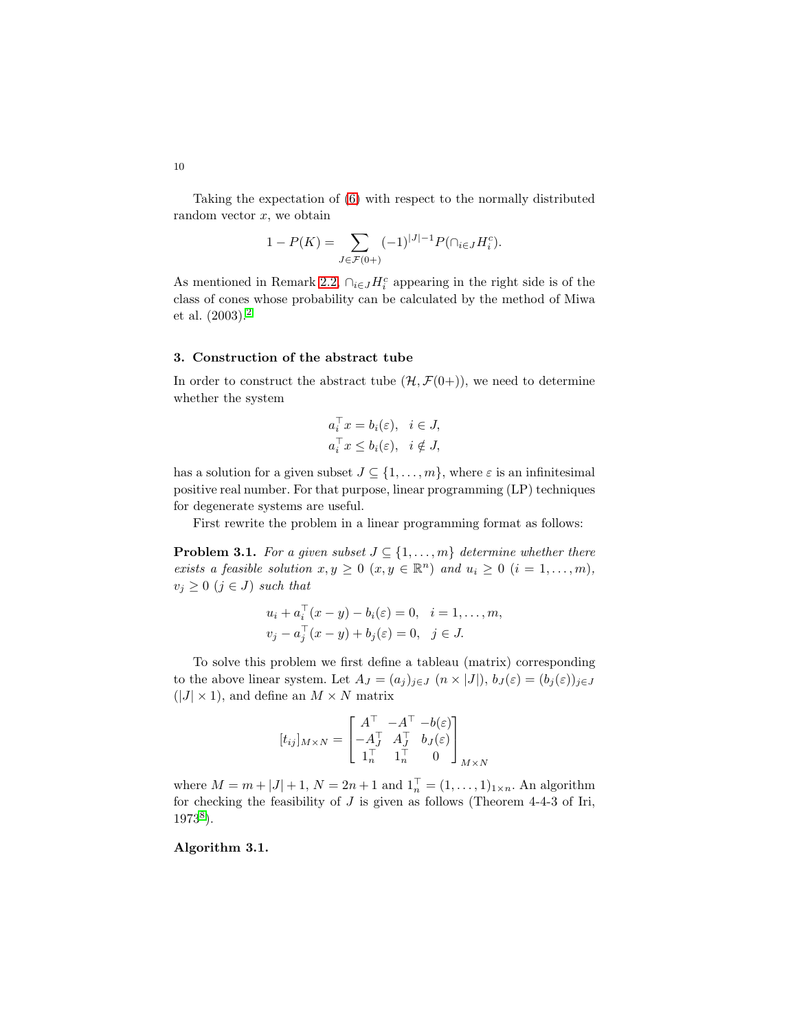Taking the expectation of [\(6\)](#page-7-0) with respect to the normally distributed random vector  $x$ , we obtain

$$
1 - P(K) = \sum_{J \in \mathcal{F}(0+)} (-1)^{|J|-1} P(\cap_{i \in J} H_i^c).
$$

As mentioned in Remark [2.2,](#page-10-0)  $\bigcap_{i \in J} H_i^c$  appearing in the right side is of the class of cones whose probability can be calculated by the method of Miwa et al. (2003).[2](#page-13-1)

# <span id="page-9-0"></span>3. Construction of the abstract tube

In order to construct the abstract tube  $(\mathcal{H}, \mathcal{F}(0+))$ , we need to determine whether the system

$$
a_i^{\top} x = b_i(\varepsilon), \quad i \in J,
$$
  

$$
a_i^{\top} x \le b_i(\varepsilon), \quad i \notin J,
$$

has a solution for a given subset  $J \subseteq \{1, \ldots, m\}$ , where  $\varepsilon$  is an infinitesimal positive real number. For that purpose, linear programming (LP) techniques for degenerate systems are useful.

First rewrite the problem in a linear programming format as follows:

**Problem 3.1.** For a given subset  $J \subseteq \{1, \ldots, m\}$  determine whether there exists a feasible solution  $x, y \ge 0$   $(x, y \in \mathbb{R}^n)$  and  $u_i \ge 0$   $(i = 1, ..., m)$ ,  $v_j \geq 0 \ (j \in J) \ such \ that$ 

$$
u_i + a_i^{\top} (x - y) - b_i(\varepsilon) = 0, \quad i = 1, ..., m,
$$
  

$$
v_j - a_j^{\top} (x - y) + b_j(\varepsilon) = 0, \quad j \in J.
$$

To solve this problem we first define a tableau (matrix) corresponding to the above linear system. Let  $A_J = (a_j)_{j \in J}$   $(n \times |J|)$ ,  $b_J(\varepsilon) = (b_j(\varepsilon))_{j \in J}$  $(|J| \times 1)$ , and define an  $M \times N$  matrix

$$
[t_{ij}]_{M\times N} = \begin{bmatrix} A^\top & -A^\top & -b(\varepsilon) \\ -A_J^\top & A_J^\top & b_J(\varepsilon) \\ 1_n^\top & 1_n^\top & 0 \end{bmatrix}_{M\times N}
$$

where  $M = m + |J| + 1$ ,  $N = 2n + 1$  and  $1_n^{\top} = (1, ..., 1)_{1 \times n}$ . An algorithm for checking the feasibility of  $J$  is given as follows (Theorem 4-4-3 of Iri, 1973[8](#page-14-0) ).

<span id="page-9-1"></span>Algorithm 3.1.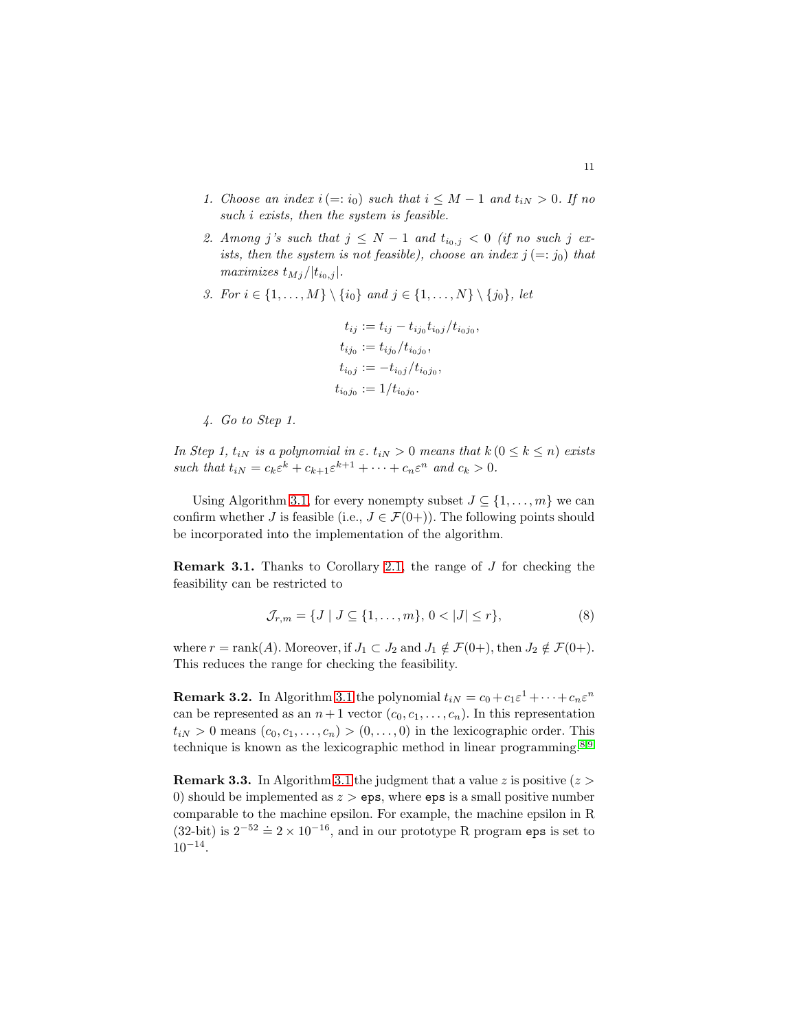- 1. Choose an index  $i (=: i_0)$  such that  $i \leq M 1$  and  $t_{iN} > 0$ . If no such *i* exists, then the system is feasible.
- 2. Among j's such that  $j \leq N-1$  and  $t_{i_0,j} < 0$  (if no such j exists, then the system is not feasible), choose an index  $j (=: j_0)$  that maximizes  $t_{Mj}/|t_{i_0,j}|$ .
- 3. For  $i \in \{1, ..., M\} \setminus \{i_0\}$  and  $j \in \{1, ..., N\} \setminus \{j_0\}$ , let

$$
t_{ij} := t_{ij} - t_{ij_0} t_{i_0 j} / t_{i_0 j_0},
$$
  
\n
$$
t_{ij_0} := t_{ij_0} / t_{i_0 j_0},
$$
  
\n
$$
t_{i_0 j} := -t_{i_0 j} / t_{i_0 j_0},
$$
  
\n
$$
t_{i_0 j_0} := 1 / t_{i_0 j_0}.
$$

4. Go to Step 1.

In Step 1,  $t_{iN}$  is a polynomial in  $\varepsilon$ .  $t_{iN} > 0$  means that  $k (0 \leq k \leq n)$  exists such that  $t_{iN} = c_k \varepsilon^k + c_{k+1} \varepsilon^{k+1} + \cdots + c_n \varepsilon^n$  and  $c_k > 0$ .

Using Algorithm [3.1,](#page-9-1) for every nonempty subset  $J \subseteq \{1, \ldots, m\}$  we can confirm whether J is feasible (i.e.,  $J \in \mathcal{F}(0+)$ ). The following points should be incorporated into the implementation of the algorithm.

**Remark 3.1.** Thanks to Corollary [2.1,](#page-6-1) the range of  $J$  for checking the feasibility can be restricted to

<span id="page-10-1"></span>
$$
\mathcal{J}_{r,m} = \{ J \mid J \subseteq \{1, \dots, m\}, \, 0 < |J| \le r \},\tag{8}
$$

where  $r = \text{rank}(A)$ . Moreover, if  $J_1 \subset J_2$  and  $J_1 \notin \mathcal{F}(0+)$ , then  $J_2 \notin \mathcal{F}(0+)$ . This reduces the range for checking the feasibility.

<span id="page-10-0"></span>**Remark 3.2.** In Algorithm [3.1](#page-9-1) the polynomial  $t_{iN} = c_0 + c_1 \varepsilon^1 + \cdots + c_n \varepsilon^n$ can be represented as an  $n+1$  vector  $(c_0, c_1, \ldots, c_n)$ . In this representation  $t_{iN} > 0$  means  $(c_0, c_1, \ldots, c_n) > (0, \ldots, 0)$  in the lexicographic order. This technique is known as the lexicographic method in linear programming.<sup>[8](#page-14-0)[,9](#page-14-1)</sup>

**Remark 3.3.** In Algorithm [3.1](#page-9-1) the judgment that a value z is positive  $(z >$ 0) should be implemented as  $z > eps$ , where eps is a small positive number comparable to the machine epsilon. For example, the machine epsilon in R (32-bit) is  $2^{-52} \doteq 2 \times 10^{-16}$ , and in our prototype R program eps is set to  $10^{-14}$ .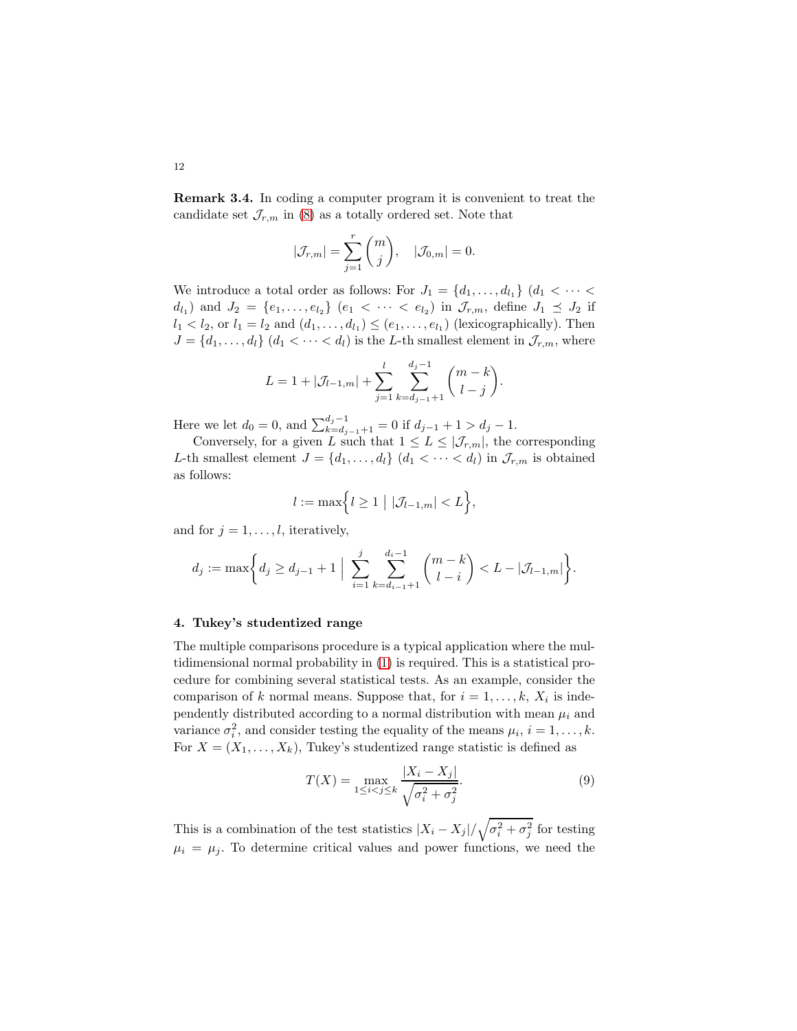Remark 3.4. In coding a computer program it is convenient to treat the candidate set  $\mathcal{J}_{r,m}$  in [\(8\)](#page-10-1) as a totally ordered set. Note that

$$
|\mathcal{J}_{r,m}| = \sum_{j=1}^r \binom{m}{j}, \quad |\mathcal{J}_{0,m}| = 0.
$$

We introduce a total order as follows: For  $J_1 = \{d_1, \ldots, d_{l_1}\}$   $(d_1 < \cdots <$  $d_{l_1}$  and  $J_2 = \{e_1, \ldots, e_{l_2}\}$   $(e_1 < \cdots < e_{l_2})$  in  $\mathcal{J}_{r,m}$ , define  $J_1 \preceq J_2$  if  $l_1 < l_2$ , or  $l_1 = l_2$  and  $(d_1, \ldots, d_{l_1}) \le (e_1, \ldots, e_{l_1})$  (lexicographically). Then  $J = \{d_1, \ldots, d_l\}$   $(d_1 < \cdots < d_l)$  is the L-th smallest element in  $\mathcal{J}_{r,m}$ , where

$$
L = 1 + |\mathcal{J}_{l-1,m}| + \sum_{j=1}^{l} \sum_{k=d_{j-1}+1}^{d_j-1} {m-k \choose l-j}.
$$

Here we let  $d_0 = 0$ , and  $\sum_{k=d_{j-1}+1}^{d_j-1} = 0$  if  $d_{j-1}+1 > d_j-1$ .

Conversely, for a given L such that  $1 \leq L \leq |\mathcal{J}_{r,m}|$ , the corresponding L-th smallest element  $J = \{d_1, \ldots, d_l\}$   $(d_1 < \cdots < d_l)$  in  $\mathcal{J}_{r,m}$  is obtained as follows:

$$
l := \max\Bigl\{l \geq 1 \mid |\mathcal{J}_{l-1,m}| < L\Bigr\},\
$$

and for  $j = 1, \ldots, l$ , iteratively,

$$
d_j := \max\bigg\{d_j \geq d_{j-1} + 1 \;\Big|\; \sum_{i=1}^j \sum_{k=d_{i-1}+1}^{d_i-1} {m-k \choose l-i} < L - |\mathcal{J}_{l-1,m}|\bigg\}.
$$

## <span id="page-11-0"></span>4. Tukey's studentized range

The multiple comparisons procedure is a typical application where the multidimensional normal probability in [\(1\)](#page-1-0) is required. This is a statistical procedure for combining several statistical tests. As an example, consider the comparison of k normal means. Suppose that, for  $i = 1, \ldots, k$ ,  $X_i$  is independently distributed according to a normal distribution with mean  $\mu_i$  and variance  $\sigma_i^2$ , and consider testing the equality of the means  $\mu_i$ ,  $i = 1, \ldots, k$ . For  $X = (X_1, \ldots, X_k)$ , Tukey's studentized range statistic is defined as

<span id="page-11-1"></span>
$$
T(X) = \max_{1 \le i < j \le k} \frac{|X_i - X_j|}{\sqrt{\sigma_i^2 + \sigma_j^2}}.\tag{9}
$$

This is a combination of the test statistics  $|X_i - X_j| / \sqrt{\sigma_i^2 + \sigma_j^2}$  for testing  $\mu_i = \mu_j$ . To determine critical values and power functions, we need the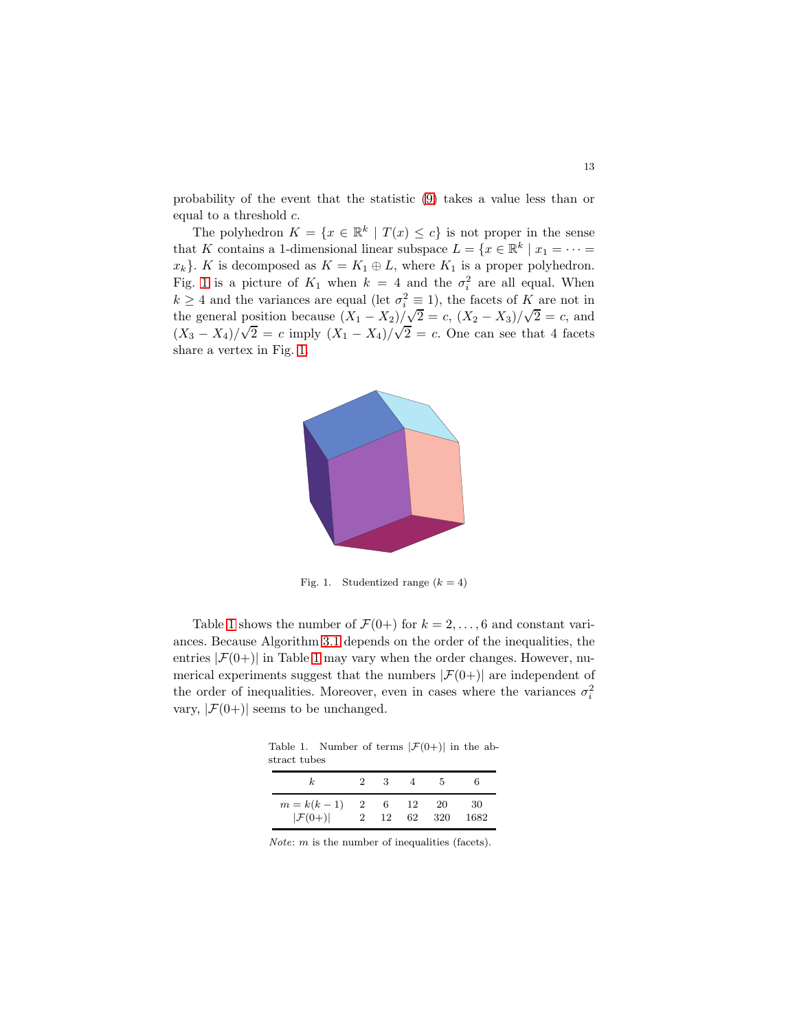probability of the event that the statistic [\(9\)](#page-11-1) takes a value less than or equal to a threshold c.

The polyhedron  $K = \{x \in \mathbb{R}^k \mid T(x) \leq c\}$  is not proper in the sense that K contains a 1-dimensional linear subspace  $L = \{x \in \mathbb{R}^k \mid x_1 = \cdots =$  $x_k$ . K is decomposed as  $K = K_1 \oplus L$ , where  $K_1$  is a proper polyhedron. Fig. [1](#page-12-0) is a picture of  $K_1$  when  $k = 4$  and the  $\sigma_i^2$  are all equal. When  $k \geq 4$  and the variances are equal (let  $\sigma_i^2 \equiv 1$ ), the facets of K are not in the general position because  $(X_1 - X_2)/\sqrt{2} = c$ ,  $(X_2 - X_3)/\sqrt{2} = c$ , and  $(X_3 - X_4)/\sqrt{2} = c$  imply  $(X_1 - X_4)/\sqrt{2} = c$ . One can see that 4 facets share a vertex in Fig. [1.](#page-12-0)



<span id="page-12-0"></span>Fig. 1. Studentized range  $(k = 4)$ 

Table [1](#page-12-1) shows the number of  $\mathcal{F}(0+)$  for  $k = 2, ..., 6$  and constant variances. Because Algorithm [3.1](#page-9-1) depends on the order of the inequalities, the entries  $|\mathcal{F}(0+)|$  in Table [1](#page-12-1) may vary when the order changes. However, numerical experiments suggest that the numbers  $|\mathcal{F}(0+)|$  are independent of the order of inequalities. Moreover, even in cases where the variances  $\sigma_i^2$ vary,  $|\mathcal{F}(0+)|$  seems to be unchanged.

Table 1. Number of terms  $|\mathcal{F}(0+)|$  in the abstract tubes

<span id="page-12-1"></span>

| k.                  | $2^{\circ}$    | з  |    |     | h    |
|---------------------|----------------|----|----|-----|------|
| $m=k(k-1)$          | $\overline{2}$ | 6. | 12 | -20 | 30   |
| $ \mathcal{F}(0+) $ | $\sqrt{2}$     | 12 | 62 | 320 | 1682 |

*Note:*  $m$  is the number of inequalities (facets).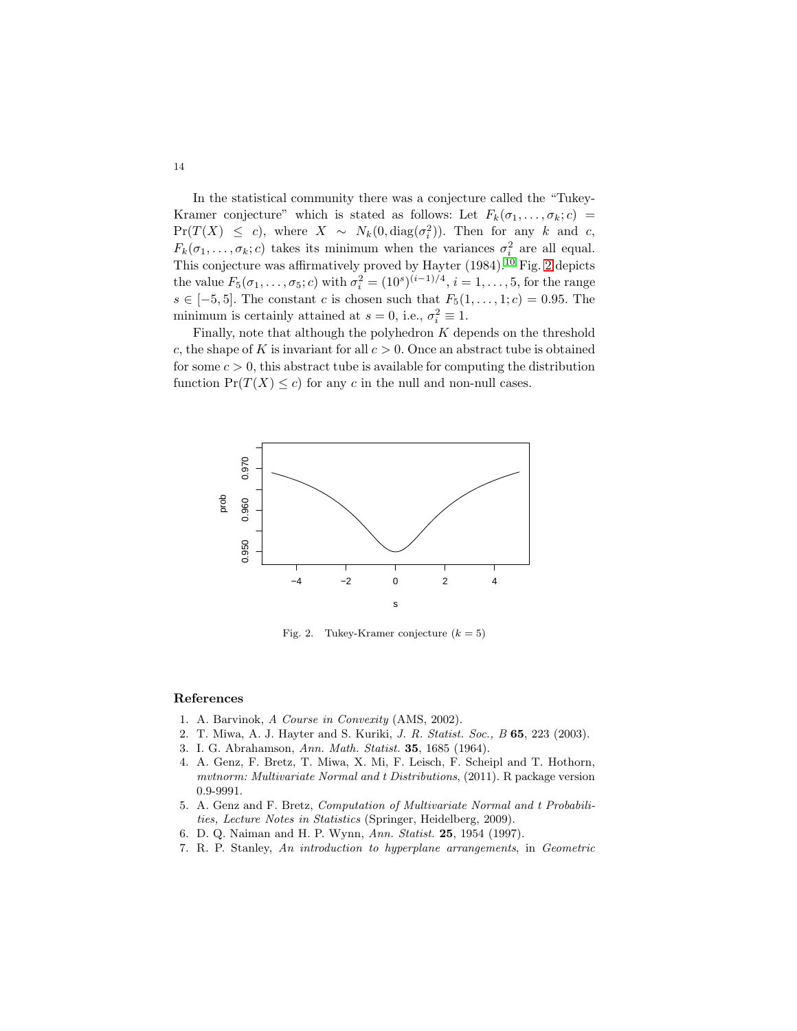In the statistical community there was a conjecture called the "Tukey-Kramer conjecture" which is stated as follows: Let  $F_k(\sigma_1, \ldots, \sigma_k; c)$  $Pr(T(X) \leq c)$ , where  $X \sim N_k(0, \text{diag}(\sigma_i^2))$ . Then for any k and c,  $F_k(\sigma_1,\ldots,\sigma_k;c)$  takes its minimum when the variances  $\sigma_i^2$  are all equal. This conjecture was affirmatively proved by Hayter  $(1984).^{10}$  $(1984).^{10}$  $(1984).^{10}$  Fig. [2](#page-13-7) depicts the value  $F_5(\sigma_1, \ldots, \sigma_5; c)$  with  $\sigma_i^2 = (10^s)^{(i-1)/4}, i = 1, \ldots, 5$ , for the range  $s \in [-5, 5]$ . The constant c is chosen such that  $F_5(1, \ldots, 1; c) = 0.95$ . The minimum is certainly attained at  $s = 0$ , i.e.,  $\sigma_i^2 \equiv 1$ .

Finally, note that although the polyhedron  $K$  depends on the threshold c, the shape of K is invariant for all  $c > 0$ . Once an abstract tube is obtained for some  $c > 0$ , this abstract tube is available for computing the distribution function  $Pr(T(X) \leq c)$  for any c in the null and non-null cases.



<span id="page-13-7"></span>Fig. 2. Tukey-Kramer conjecture  $(k = 5)$ 

#### <span id="page-13-0"></span>References

- <span id="page-13-1"></span>1. A. Barvinok, *A Course in Convexity* (AMS, 2002).
- <span id="page-13-2"></span>2. T. Miwa, A. J. Hayter and S. Kuriki, *J. R. Statist. Soc., B* 65, 223 (2003).
- <span id="page-13-3"></span>3. I. G. Abrahamson, *Ann. Math. Statist.* 35, 1685 (1964).
- 4. A. Genz, F. Bretz, T. Miwa, X. Mi, F. Leisch, F. Scheipl and T. Hothorn, *mvtnorm: Multivariate Normal and t Distributions*, (2011). R package version 0.9-9991.
- <span id="page-13-4"></span>5. A. Genz and F. Bretz, *Computation of Multivariate Normal and t Probabilities, Lecture Notes in Statistics* (Springer, Heidelberg, 2009).
- <span id="page-13-6"></span><span id="page-13-5"></span>6. D. Q. Naiman and H. P. Wynn, *Ann. Statist.* 25, 1954 (1997).
- 7. R. P. Stanley, *An introduction to hyperplane arrangements*, in *Geometric*